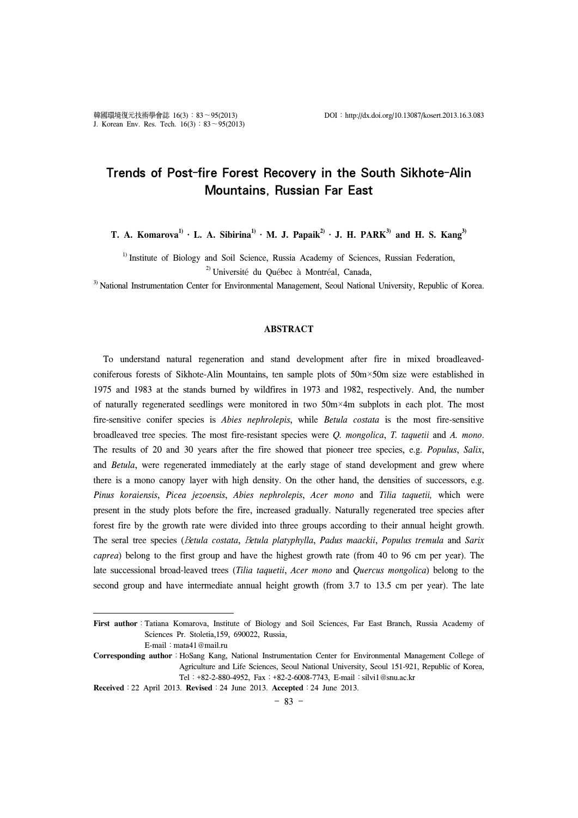# Trends of Post-fire Forest Recovery in the South Sikhote-Alin Mountains, Russian Far East

T. A. Komarova<sup>1)</sup>  $\cdot$  L. A. Sibirina<sup>1)</sup>  $\cdot$  M. J. Papaik<sup>2)</sup>  $\cdot$  J. H. PARK<sup>3)</sup> and H. S. Kang<sup>3)</sup>

<sup>1)</sup> Institute of Biology and Soil Science, Russia Academy of Sciences, Russian Federation, 2) Université du Québec à Montréal, Canada,

<sup>3)</sup> National Instrumentation Center for Environmental Management, Seoul National University, Republic of Korea.

#### **ABSTRACT**

To understand natural regeneration and stand development after fire in mixed broadleavedconiferous forests of Sikhote-Alin Mountains, ten sample plots of 50m×50m size were established in 1975 and 1983 at the stands burned by wildfires in 1973 and 1982, respectively. And, the number of naturally regenerated seedlings were monitored in two 50m×4m subplots in each plot. The most fire-sensitive conifer species is *Abies nephrolepis*, while *Betula costata* is the most fire-sensitive broadleaved tree species. The most fire-resistant species were *Q. mongolica*, *T. taquetii* and *A. mono*. The results of 20 and 30 years after the fire showed that pioneer tree species, e.g. *Populus*, *Salix*, and *Betula*, were regenerated immediately at the early stage of stand development and grew where there is a mono canopy layer with high density. On the other hand, the densities of successors, e.g. *Pinus koraiensis*, *Picea jezoensis*, *Abies nephrolepis*, *Acer mono* and *Tilia taquetii,* which were present in the study plots before the fire, increased gradually. Naturally regenerated tree species after forest fire by the growth rate were divided into three groups according to their annual height growth. The seral tree species (В*etula costata*, В*etula platyphylla*, *Padus maackii*, *Populus tremula* and *Sarix caprea*) belong to the first group and have the highest growth rate (from 40 to 96 cm per year). The late successional broad-leaved trees (*Tilia taquetii*, *Acer mono* and *Quercus mongolica*) belong to the second group and have intermediate annual height growth (from 3.7 to 13.5 cm per year). The late

First author : Tatiana Komarova, Institute of Biology and Soil Sciences, Far East Branch, Russia Academy of Sciences Pr. Stoletia,159, 690022, Russia,

E-mail:mata41@mail.ru

**Corresponding author**:HoSang Kang, National Instrumentation Center for Environmental Management College of Agriculture and Life Sciences, Seoul National University, Seoul 151-921, Republic of Korea, Tel:+82-2-880-4952, Fax:+82-2-6008-7743, E-mail:silvi1@snu.ac.kr

**Received**:22 April 2013. **Revised**:24 June 2013. **Accepted**:24 June 2013.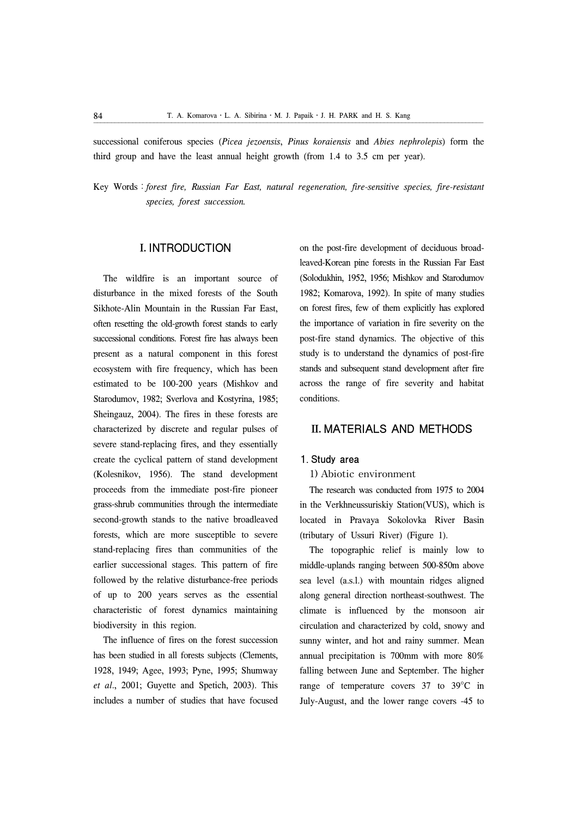successional coniferous species (*Picea jezoensis*, *Pinus koraiensis* and *Abies nephrolepis*) form the third group and have the least annual height growth (from 1.4 to 3.5 cm per year).

Key Words:*forest fire, Russian Far East, natural regeneration, fire-sensitive species, fire-resistant species, forest succession.*

#### I. INTRODUCTION

The wildfire is an important source of disturbance in the mixed forests of the South Sikhote-Alin Mountain in the Russian Far East, often resetting the old-growth forest stands to early successional conditions. Forest fire has always been present as a natural component in this forest ecosystem with fire frequency, which has been estimated to be 100-200 years (Mishkov and Starodumov, 1982; Sverlova and Kostyrina, 1985; Sheingauz, 2004). The fires in these forests are characterized by discrete and regular pulses of severe stand-replacing fires, and they essentially create the cyclical pattern of stand development (Kolesnikov, 1956). The stand development proceeds from the immediate post-fire pioneer grass-shrub communities through the intermediate second-growth stands to the native broadleaved forests, which are more susceptible to severe stand-replacing fires than communities of the earlier successional stages. This pattern of fire followed by the relative disturbance-free periods of up to 200 years serves as the essential characteristic of forest dynamics maintaining biodiversity in this region.

The influence of fires on the forest succession has been studied in all forests subjects (Clements, 1928, 1949; Agee, 1993; Pyne, 1995; Shumway *et al*., 2001; Guyette and Spetich, 2003). This includes a number of studies that have focused

on the post-fire development of deciduous broadleaved-Korean pine forests in the Russian Far East (Solodukhin, 1952, 1956; Mishkov and Starodumov 1982; Komarova, 1992). In spite of many studies on forest fires, few of them explicitly has explored the importance of variation in fire severity on the post-fire stand dynamics. The objective of this study is to understand the dynamics of post-fire stands and subsequent stand development after fire across the range of fire severity and habitat conditions.

### II. MATERIALS AND METHODS

#### 1. Study area

**1) Abiotic environment**

The research was conducted from 1975 to 2004 in the Verkhneussuriskiy Station(VUS), which is located in Pravaya Sokolovka River Basin (tributary of Ussuri River) (Figure 1).

The topographic relief is mainly low to middle-uplands ranging between 500-850m above sea level (a.s.l.) with mountain ridges aligned along general direction northeast-southwest. The climate is influenced by the monsoon air circulation and characterized by cold, snowy and sunny winter, and hot and rainy summer. Mean annual precipitation is 700mm with more 80% falling between June and September. The higher range of temperature covers 37 to 39°C in July-August, and the lower range covers -45 to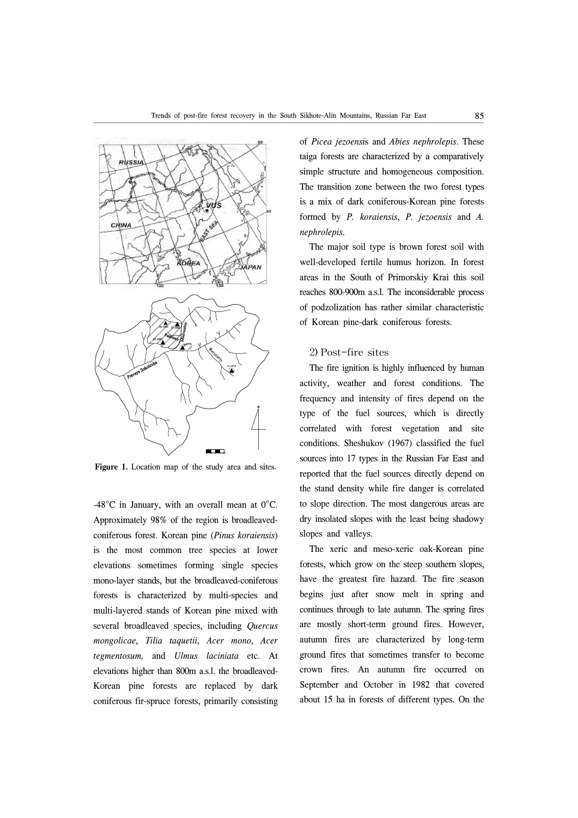

**Figure 1.** Location map of the study area and sites.

-48°C in January, with an overall mean at 0°C. Approximately 98% of the region is broadleavedconiferous forest. Korean pine (*Pinus koraiensis*) is the most common tree species at lower elevations sometimes forming single species mono-layer stands, but the broadleaved-coniferous forests is characterized by multi-species and multi-layered stands of Korean pine mixed with several broadleaved species, including *Quercus mongolicae*, *Tilia taquetii*, *Acer mono*, *Acer tegmentosum,* and *Ulmus laciniata* etc. At elevations higher than 800m a.s.l. the broadleaved-Korean pine forests are replaced by dark coniferous fir-spruce forests, primarily consisting

of *Picea jezoensi*s and *Abies nephrolepis*. These taiga forests are characterized by a comparatively simple structure and homogeneous composition. The transition zone between the two forest types is a mix of dark coniferous-Korean pine forests formed by *P. koraiensis*, *P. jezoensis* and *A. nephrolepis*.

The major soil type is brown forest soil with well-developed fertile humus horizon. In forest areas in the South of Primorskiy Krai this soil reaches 800-900m a.s.l. The inconsiderable process of podzolization has rather similar characteristic of Korean pine-dark coniferous forests.

#### **2) Post-fire sites**

The fire ignition is highly influenced by human activity, weather and forest conditions. The frequency and intensity of fires depend on the type of the fuel sources, which is directly correlated with forest vegetation and site conditions. Sheshukov (1967) classified the fuel sources into 17 types in the Russian Far East and reported that the fuel sources directly depend on the stand density while fire danger is correlated to slope direction. The most dangerous areas are dry insolated slopes with the least being shadowy slopes and valleys.

The xeric and meso-xeric oak-Korean pine forests, which grow on the steep southern slopes, have the greatest fire hazard. The fire season begins just after snow melt in spring and continues through to late autumn. The spring fires are mostly short-term ground fires. However, autumn fires are characterized by long-term ground fires that sometimes transfer to become crown fires. An autumn fire occurred on September and October in 1982 that covered about 15 ha in forests of different types. On the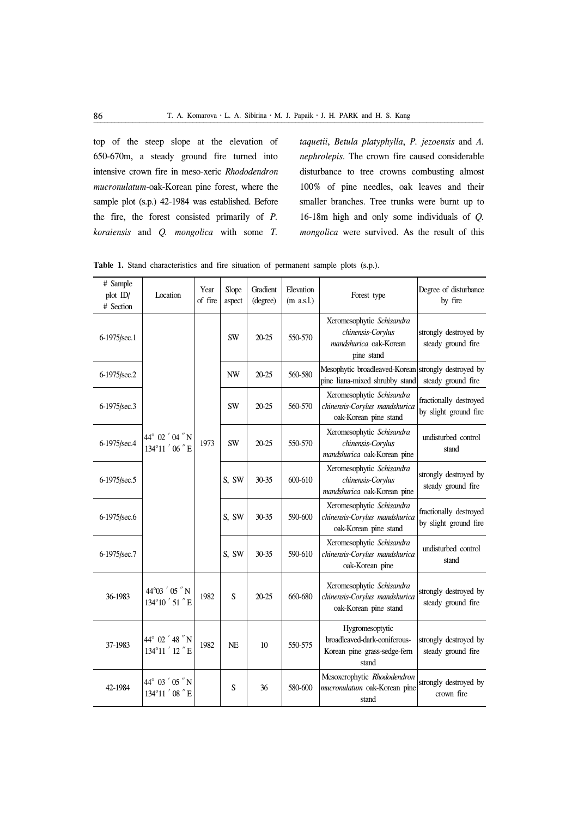top of the steep slope at the elevation of 650-670m, a steady ground fire turned into intensive crown fire in meso-xeric *Rhododendron mucronulatum*-oak-Korean pine forest, where the sample plot (s.p.) 42-1984 was established. Before the fire, the forest consisted primarily of *P. koraiensis* and *Q. mongolica* with some *T.* 

*taquetii*, *Betula platyphylla*, *P. jezoensis* and *A. nephrolepis*. The crown fire caused considerable disturbance to tree crowns combusting almost 100% of pine needles, oak leaves and their smaller branches. Tree trunks were burnt up to 16-18m high and only some individuals of *Q. mongolica* were survived. As the result of this

| # Sample<br>plot ID/<br># Section | Location                                       | Year<br>of fire | Slope<br>aspect | Gradient<br>(degree) | Elevation<br>$(m$ a.s.l.) | Forest type                                                                              | Degree of disturbance<br>by fire                |
|-----------------------------------|------------------------------------------------|-----------------|-----------------|----------------------|---------------------------|------------------------------------------------------------------------------------------|-------------------------------------------------|
| 6-1975/sec.1                      | $44^{\circ}$ 02 $'$ 04 $''$ N<br>134°11 '06" E | 1973            | <b>SW</b>       | $20 - 25$            | 550-570                   | Xeromesophytic Schisandra<br>chinensis-Corylus<br>mandshurica oak-Korean<br>pine stand   | strongly destroyed by<br>steady ground fire     |
| 6-1975/sec.2                      |                                                |                 | NW              | $20 - 25$            | 560-580                   | Mesophytic broadleaved-Korean strongly destroyed by<br>pine liana-mixed shrubby stand    | steady ground fire                              |
| 6-1975/sec.3                      |                                                |                 | <b>SW</b>       | $20 - 25$            | 560-570                   | Xeromesophytic Schisandra<br>chinensis-Corylus mandshurica<br>oak-Korean pine stand      | fractionally destroyed<br>by slight ground fire |
| 6-1975/sec.4                      |                                                |                 | <b>SW</b>       | $20 - 25$            | 550-570                   | Xeromesophytic Schisandra<br>chinensis-Corylus<br>mandshurica oak-Korean pine            | undisturbed control<br>stand                    |
| 6-1975/sec.5                      |                                                |                 | S, SW           | $30 - 35$            | 600-610                   | Xeromesophytic Schisandra<br>chinensis-Corylus<br>mandshurica oak-Korean pine            | strongly destroyed by<br>steady ground fire     |
| 6-1975/sec.6                      |                                                |                 | S, SW           | 30-35                | 590-600                   | Xeromesophytic Schisandra<br>chinensis-Corylus mandshurica<br>oak-Korean pine stand      | fractionally destroyed<br>by slight ground fire |
| 6-1975/sec.7                      |                                                |                 | S, SW           | $30 - 35$            | 590-610                   | Xeromesophytic Schisandra<br>chinensis-Corylus mandshurica<br>oak-Korean pine            | undisturbed control<br>stand                    |
| 36-1983                           | 44°03 ' 05 " N<br>134°10 ' 51 " E              | 1982            | S               | $20 - 25$            | 660-680                   | Xeromesophytic Schisandra<br>chinensis-Corylus mandshurica<br>oak-Korean pine stand      | strongly destroyed by<br>steady ground fire     |
| 37-1983                           | 44° 02 $'$ 48 $''$ N<br>134°11 ' 12 " E        | 1982            | <b>NE</b>       | 10                   | 550-575                   | Hygromesoptytic<br>broadleaved-dark-coniferous-<br>Korean pine grass-sedge-fern<br>stand | strongly destroyed by<br>steady ground fire     |
| 42-1984                           | 44° 03 ' 05 " N<br>134°11 '08" E               |                 | S               | 36                   | 580-600                   | Mesoxerophytic Rhododendron<br>mucronulatum oak-Korean pine<br>stand                     | strongly destroyed by<br>crown fire             |

**Table 1.** Stand characteristics and fire situation of permanent sample plots (s.p.).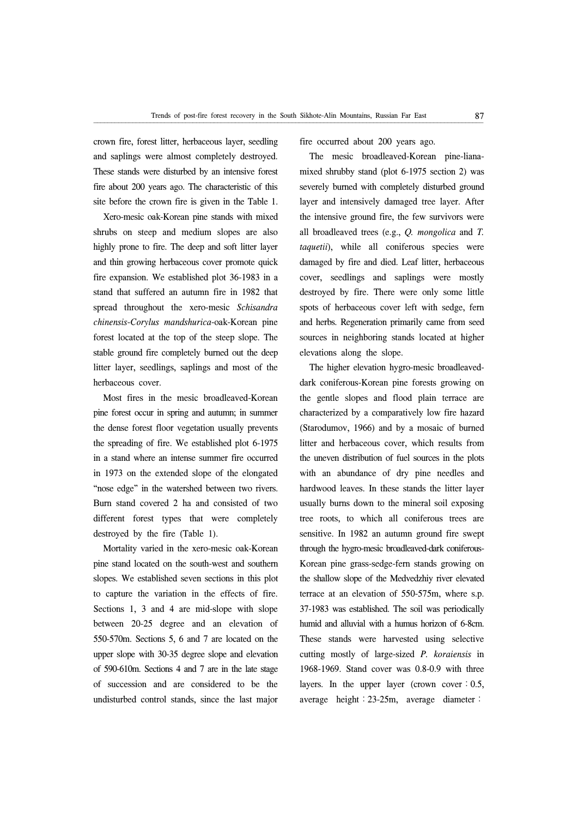crown fire, forest litter, herbaceous layer, seedling and saplings were almost completely destroyed. These stands were disturbed by an intensive forest fire about 200 years ago. The characteristic of this site before the crown fire is given in the Table 1.

Xero-mesic oak-Korean pine stands with mixed shrubs on steep and medium slopes are also highly prone to fire. The deep and soft litter layer and thin growing herbaceous cover promote quick fire expansion. We established plot 36-1983 in a stand that suffered an autumn fire in 1982 that spread throughout the xero-mesic *Schisandra chinensis*-*Corylus mandshurica*-oak-Korean pine forest located at the top of the steep slope. The stable ground fire completely burned out the deep litter layer, seedlings, saplings and most of the herbaceous cover.

Most fires in the mesic broadleaved-Korean pine forest occur in spring and autumn; in summer the dense forest floor vegetation usually prevents the spreading of fire. We established plot 6-1975 in a stand where an intense summer fire occurred in 1973 on the extended slope of the elongated "nose edge" in the watershed between two rivers. Burn stand covered 2 ha and consisted of two different forest types that were completely destroyed by the fire (Table 1).

Mortality varied in the xero-mesic oak-Korean pine stand located on the south-west and southern slopes. We established seven sections in this plot to capture the variation in the effects of fire. Sections 1, 3 and 4 are mid-slope with slope between 20-25 degree and an elevation of 550-570m. Sections 5, 6 and 7 are located on the upper slope with 30-35 degree slope and elevation of 590-610m. Sections 4 and 7 are in the late stage of succession and are considered to be the undisturbed control stands, since the last major

fire occurred about 200 years ago.

The mesic broadleaved-Korean pine-lianamixed shrubby stand (plot 6-1975 section 2) was severely burned with completely disturbed ground layer and intensively damaged tree layer. After the intensive ground fire, the few survivors were all broadleaved trees (e.g., *Q. mongolica* and *T. taquetii*), while all coniferous species were damaged by fire and died. Leaf litter, herbaceous cover, seedlings and saplings were mostly destroyed by fire. There were only some little spots of herbaceous cover left with sedge, fern and herbs. Regeneration primarily came from seed sources in neighboring stands located at higher elevations along the slope.

The higher elevation hygro-mesic broadleaveddark coniferous-Korean pine forests growing on the gentle slopes and flood plain terrace are characterized by a comparatively low fire hazard (Starodumov, 1966) and by a mosaic of burned litter and herbaceous cover, which results from the uneven distribution of fuel sources in the plots with an abundance of dry pine needles and hardwood leaves. In these stands the litter layer usually burns down to the mineral soil exposing tree roots, to which all coniferous trees are sensitive. In 1982 an autumn ground fire swept through the hygro-mesic broadleaved-dark coniferous-Korean pine grass-sedge-fern stands growing on the shallow slope of the Medvedzhiy river elevated terrace at an elevation of 550-575m, where s.p. 37-1983 was established. The soil was periodically humid and alluvial with a humus horizon of 6-8cm. These stands were harvested using selective cutting mostly of large-sized *P. koraiensis* in 1968-1969. Stand cover was 0.8-0.9 with three layers. In the upper layer (crown cover:  $0.5$ , average height:23-25m, average diameter: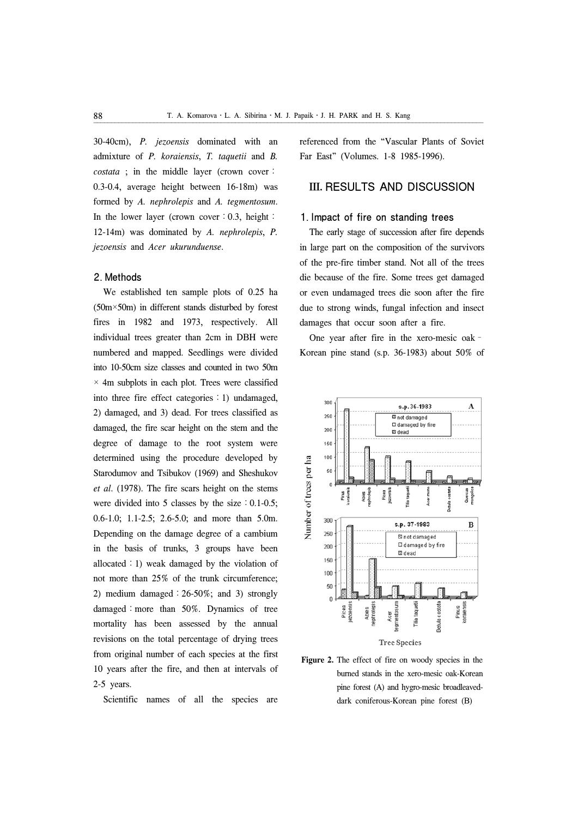30-40cm), *P. jezoensis* dominated with an admixture of *P. koraiensis*, *T. taquetii* and *B. costata* ; in the middle layer (crown cover: 0.3-0.4, average height between 16-18m) was formed by *A. nephrolepis* and *A. tegmentosum*. In the lower layer (crown cover: 0.3, height: 12-14m) was dominated by *A. nephrolepis*, *P. jezoensis* and *Acer ukurunduense*.

#### 2. Methods

We established ten sample plots of 0.25 ha (50m×50m) in different stands disturbed by forest fires in 1982 and 1973, respectively. All individual trees greater than 2cm in DBH were numbered and mapped. Seedlings were divided into 10-50cm size classes and counted in two 50m  $\times$  4m subplots in each plot. Trees were classified into three fire effect categories  $: 1$ ) undamaged, 2) damaged, and 3) dead. For trees classified as damaged, the fire scar height on the stem and the degree of damage to the root system were determined using the procedure developed by Starodumov and Tsibukov (1969) and Sheshukov *et al*. (1978). The fire scars height on the stems were divided into 5 classes by the size  $: 0.1-0.5;$ 0.6-1.0; 1.1-2.5; 2.6-5.0; and more than 5.0m. Depending on the damage degree of a cambium in the basis of trunks, 3 groups have been allocated: 1) weak damaged by the violation of not more than 25% of the trunk circumference; 2) medium damaged:26-50%; and 3) strongly damaged: more than 50%. Dynamics of tree mortality has been assessed by the annual revisions on the total percentage of drying trees from original number of each species at the first 10 years after the fire, and then at intervals of 2-5 years.

Scientific names of all the species are

referenced from the "Vascular Plants of Soviet Far East" (Volumes. 1-8 1985-1996).

## III. RESULTS AND DISCUSSION

### 1. Impact of fire on standing trees

The early stage of succession after fire depends in large part on the composition of the survivors of the pre-fire timber stand. Not all of the trees die because of the fire. Some trees get damaged or even undamaged trees die soon after the fire due to strong winds, fungal infection and insect damages that occur soon after a fire.

One year after fire in the xero-mesic oak– Korean pine stand (s.p. 36-1983) about 50% of



Figure 2. The effect of fire on woody species in the burned stands in the xero-mesic oak-Korean pine forest (A) and hygro-mesic broadleaveddark coniferous-Korean pine forest (B)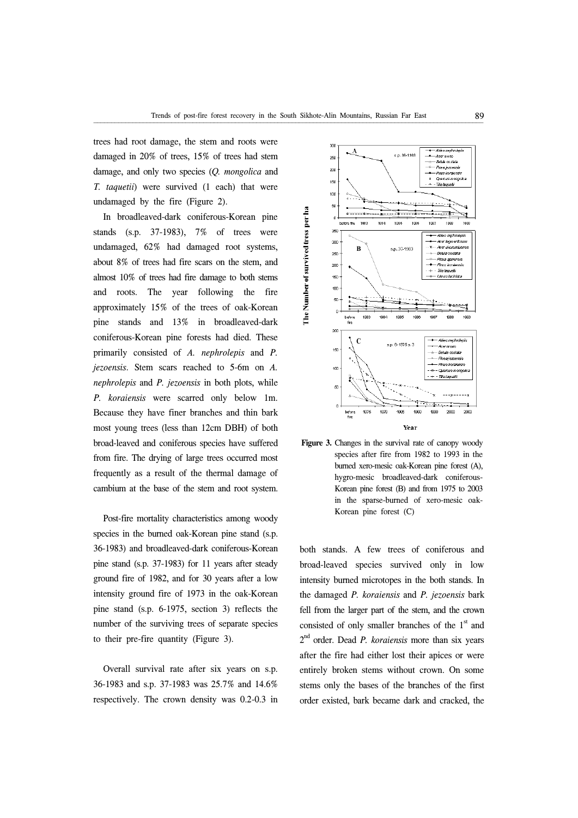trees had root damage, the stem and roots were damaged in 20% of trees, 15% of trees had stem damage, and only two species (*Q. mongolica* and *T. taquetii*) were survived (1 each) that were undamaged by the fire (Figure 2).

In broadleaved-dark coniferous-Korean pine stands (s.p. 37-1983), 7% of trees were undamaged, 62% had damaged root systems, about 8% of trees had fire scars on the stem, and almost 10% of trees had fire damage to both stems and roots. The year following the fire approximately 15% of the trees of oak-Korean pine stands and 13% in broadleaved-dark coniferous-Korean pine forests had died. These primarily consisted of *A. nephrolepis* and *P. jezoensis*. Stem scars reached to 5-6m on *A. nephrolepis* and *P. jezoensis* in both plots, while *P. koraiensis* were scarred only below 1m. Because they have finer branches and thin bark most young trees (less than 12cm DBH) of both broad-leaved and coniferous species have suffered from fire. The drying of large trees occurred most frequently as a result of the thermal damage of cambium at the base of the stem and root system.

Post-fire mortality characteristics among woody species in the burned oak-Korean pine stand (s.p. 36-1983) and broadleaved-dark coniferous-Korean pine stand (s.p. 37-1983) for 11 years after steady ground fire of 1982, and for 30 years after a low intensity ground fire of 1973 in the oak-Korean pine stand (s.p. 6-1975, section 3) reflects the number of the surviving trees of separate species to their pre-fire quantity (Figure 3).

Overall survival rate after six years on s.p. 36-1983 and s.p. 37-1983 was 25.7% and 14.6% respectively. The crown density was 0.2-0.3 in





both stands. A few trees of coniferous and broad-leaved species survived only in low intensity burned microtopes in the both stands. In the damaged *P. koraiensis* and *P. jezoensis* bark fell from the larger part of the stem, and the crown consisted of only smaller branches of the  $1<sup>st</sup>$  and 2 nd order. Dead *P. koraiensis* more than six years after the fire had either lost their apices or were entirely broken stems without crown. On some stems only the bases of the branches of the first order existed, bark became dark and cracked, the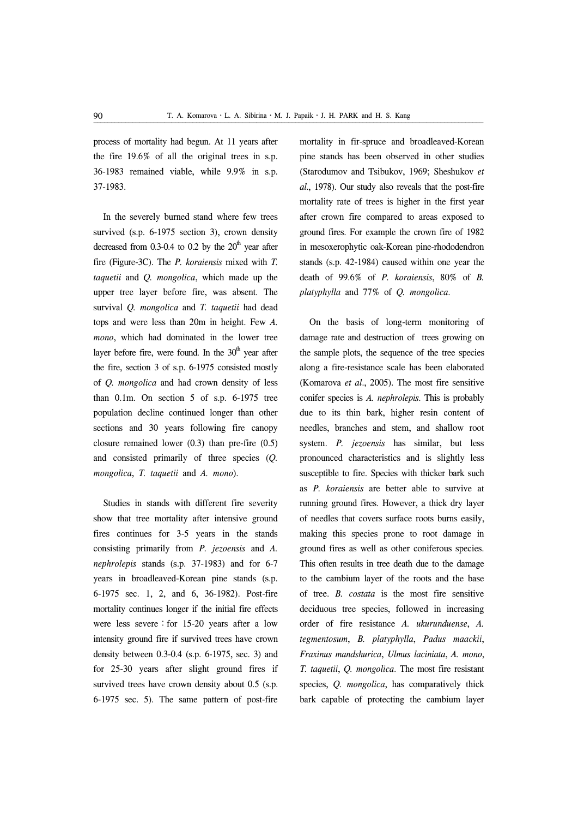process of mortality had begun. At 11 years after the fire 19.6% of all the original trees in s.p. 36-1983 remained viable, while 9.9% in s.p. 37-1983.

In the severely burned stand where few trees survived (s.p. 6-1975 section 3), crown density decreased from 0.3-0.4 to 0.2 by the  $20<sup>th</sup>$  year after fire (Figure-3C). The *P. koraiensis* mixed with *T. taquetii* and *Q. mongolica*, which made up the upper tree layer before fire, was absent. The survival *Q. mongolica* and *T. taquetii* had dead tops and were less than 20m in height. Few *A. mono*, which had dominated in the lower tree layer before fire, were found. In the  $30<sup>th</sup>$  year after the fire, section 3 of s.p. 6-1975 consisted mostly of *Q. mongolica* and had crown density of less than 0.1m. On section 5 of s.p. 6-1975 tree population decline continued longer than other sections and 30 years following fire canopy closure remained lower (0.3) than pre-fire (0.5) and consisted primarily of three species (*Q. mongolica*, *T. taquetii* and *A. mono*).

Studies in stands with different fire severity show that tree mortality after intensive ground fires continues for 3-5 years in the stands consisting primarily from *P. jezoensis* and *A. nephrolepis* stands (s.p. 37-1983) and for 6-7 years in broadleaved-Korean pine stands (s.p. 6-1975 sec. 1, 2, and 6, 36-1982). Post-fire mortality continues longer if the initial fire effects were less severe: for  $15-20$  years after a low intensity ground fire if survived trees have crown density between 0.3-0.4 (s.p. 6-1975, sec. 3) and for 25-30 years after slight ground fires if survived trees have crown density about 0.5 (s.p. 6-1975 sec. 5). The same pattern of post-fire

mortality in fir-spruce and broadleaved-Korean pine stands has been observed in other studies (Starodumov and Tsibukov, 1969; Sheshukov *et al*., 1978). Our study also reveals that the post-fire mortality rate of trees is higher in the first year after crown fire compared to areas exposed to ground fires. For example the crown fire of 1982 in mesoxerophytic oak-Korean pine-rhododendron stands (s.p. 42-1984) caused within one year the death of 99.6% of *P. koraiensis*, 80% of *B. platyphylla* and 77% of *Q. mongolica*.

On the basis of long-term monitoring of damage rate and destruction of trees growing on the sample plots, the sequence of the tree species along a fire-resistance scale has been elaborated (Komarova *et al*., 2005). The most fire sensitive conifer species is *A. nephrolepis*. This is probably due to its thin bark, higher resin content of needles, branches and stem, and shallow root system. *P. jezoensis* has similar, but less pronounced characteristics and is slightly less susceptible to fire. Species with thicker bark such as *P. koraiensis* are better able to survive at running ground fires. However, a thick dry layer of needles that covers surface roots burns easily, making this species prone to root damage in ground fires as well as other coniferous species. This often results in tree death due to the damage to the cambium layer of the roots and the base of tree. *B. costata* is the most fire sensitive deciduous tree species, followed in increasing order of fire resistance *A. ukurunduense*, *A. tegmentosum*, *B. platyphylla*, *Padus maackii*, *Fraxinus mandshurica*, *Ulmus laciniata*, *A. mono*, *T. taquetii*, *Q. mongolica*. The most fire resistant species, *Q. mongolica*, has comparatively thick bark capable of protecting the cambium layer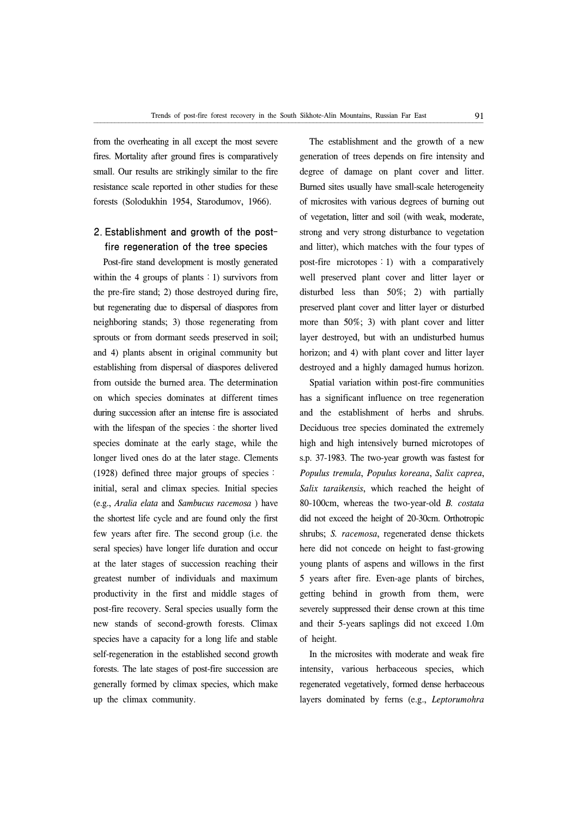from the overheating in all except the most severe fires. Mortality after ground fires is comparatively small. Our results are strikingly similar to the fire resistance scale reported in other studies for these forests (Solodukhin 1954, Starodumov, 1966).

# 2. Establishment and growth of the postfire regeneration of the tree species

Post-fire stand development is mostly generated within the 4 groups of plants  $:1$ ) survivors from the pre-fire stand; 2) those destroyed during fire, but regenerating due to dispersal of diaspores from neighboring stands; 3) those regenerating from sprouts or from dormant seeds preserved in soil; and 4) plants absent in original community but establishing from dispersal of diaspores delivered from outside the burned area. The determination on which species dominates at different times during succession after an intense fire is associated with the lifespan of the species: the shorter lived species dominate at the early stage, while the longer lived ones do at the later stage. Clements (1928) defined three major groups of species: initial, seral and climax species. Initial species (e.g., *Aralia elata* and *Sambucus racemosa* ) have the shortest life cycle and are found only the first few years after fire. The second group (i.e. the seral species) have longer life duration and occur at the later stages of succession reaching their greatest number of individuals and maximum productivity in the first and middle stages of post-fire recovery. Seral species usually form the new stands of second-growth forests. Climax species have a capacity for a long life and stable self-regeneration in the established second growth forests. The late stages of post-fire succession are generally formed by climax species, which make up the climax community.

The establishment and the growth of a new generation of trees depends on fire intensity and degree of damage on plant cover and litter. Burned sites usually have small-scale heterogeneity of microsites with various degrees of burning out of vegetation, litter and soil (with weak, moderate, strong and very strong disturbance to vegetation and litter), which matches with the four types of post-fire microtopes:1) with a comparatively well preserved plant cover and litter layer or disturbed less than 50%; 2) with partially preserved plant cover and litter layer or disturbed more than 50%; 3) with plant cover and litter layer destroyed, but with an undisturbed humus horizon; and 4) with plant cover and litter layer destroyed and a highly damaged humus horizon.

Spatial variation within post-fire communities has a significant influence on tree regeneration and the establishment of herbs and shrubs. Deciduous tree species dominated the extremely high and high intensively burned microtopes of s.p. 37-1983. The two-year growth was fastest for *Populus tremula*, *Populus koreana*, *Salix caprea*, *Salix taraikensis*, which reached the height of 80-100cm, whereas the two-year-old *B. costata* did not exceed the height of 20-30cm. Orthotropic shrubs; *S. racemosa*, regenerated dense thickets here did not concede on height to fast-growing young plants of aspens and willows in the first 5 years after fire. Even-age plants of birches, getting behind in growth from them, were severely suppressed their dense crown at this time and their 5-years saplings did not exceed 1.0m of height.

In the microsites with moderate and weak fire intensity, various herbaceous species, which regenerated vegetatively, formed dense herbaceous layers dominated by ferns (e.g., *Leptorumohra*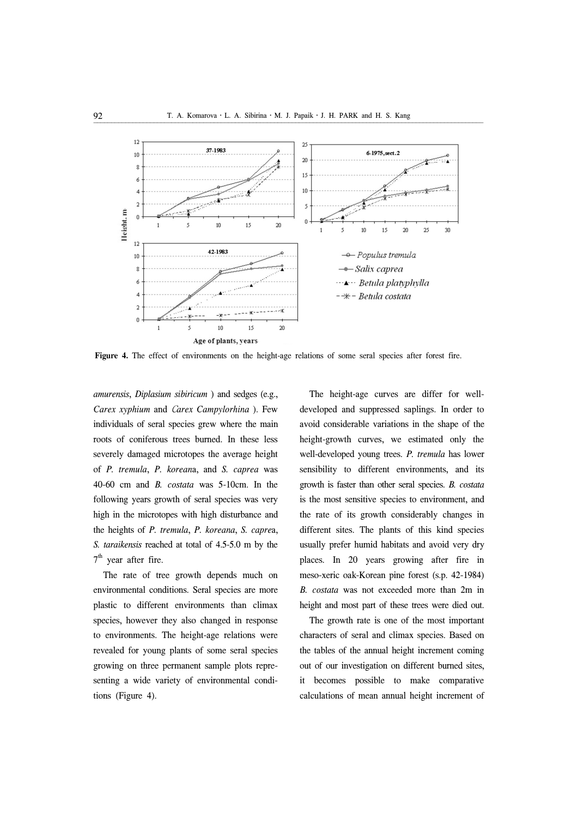

**Figure 4.** The effect of environments on the height-age relations of some seral species after forest fire.

*amurensis*, *Diplasium sibiricum* ) and sedges (e.g., *Carex xyphium* and С*arex Campylorhina* ). Few individuals of seral species grew where the main roots of coniferous trees burned. In these less severely damaged microtopes the average height of *P. tremula*, *P. korean*a, and *S. caprea* was 40-60 cm and *B. costata* was 5-10cm. In the following years growth of seral species was very high in the microtopes with high disturbance and the heights of *P. tremula*, *P. koreana*, *S. capre*a, *S. taraikensis* reached at total of 4.5-5.0 m by the 7<sup>th</sup> year after fire.

The rate of tree growth depends much on environmental conditions. Seral species are more plastic to different environments than climax species, however they also changed in response to environments. The height-age relations were revealed for young plants of some seral species growing on three permanent sample plots representing a wide variety of environmental conditions (Figure 4).

The height-age curves are differ for welldeveloped and suppressed saplings. In order to avoid considerable variations in the shape of the height-growth curves, we estimated only the well-developed young trees. *P. tremula* has lower sensibility to different environments, and its growth is faster than other seral species. *B. costata* is the most sensitive species to environment, and the rate of its growth considerably changes in different sites. The plants of this kind species usually prefer humid habitats and avoid very dry places. In 20 years growing after fire in meso-xeric oak-Korean pine forest (s.p. 42-1984) *B. costata* was not exceeded more than 2m in height and most part of these trees were died out.

The growth rate is one of the most important characters of seral and climax species. Based on the tables of the annual height increment coming out of our investigation on different burned sites, it becomes possible to make comparative calculations of mean annual height increment of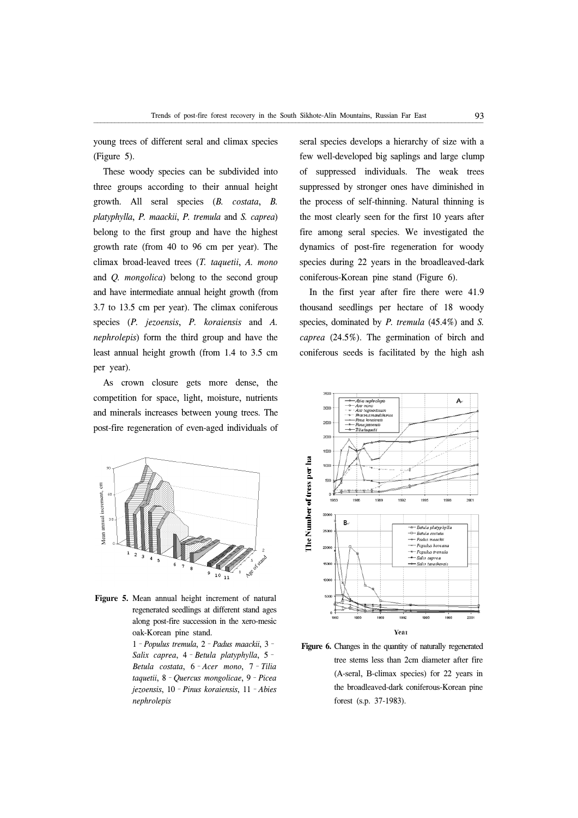young trees of different seral and climax species (Figure 5).

These woody species can be subdivided into three groups according to their annual height growth. All seral species (*B. costata*, *B. platyphylla*, *P. maackii*, *P. tremula* and *S. caprea*) belong to the first group and have the highest growth rate (from 40 to 96 cm per year). The climax broad-leaved trees (*T. taquetii*, *A. mono* and *Q. mongolica*) belong to the second group and have intermediate annual height growth (from 3.7 to 13.5 cm per year). The climax coniferous species (*P. jezoensis*, *P. koraiensis* and *A. nephrolepis*) form the third group and have the least annual height growth (from 1.4 to 3.5 cm per year).

As crown closure gets more dense, the competition for space, light, moisture, nutrients and minerals increases between young trees. The post-fire regeneration of even-aged individuals of



**Figure 5.** Mean annual height increment of natural regenerated seedlings at different stand ages along post-fire succession in the xero-mesic oak-Korean pine stand.

> 1–*Populus tremula*, 2–*Padus maackii*, 3– *Salix caprea*, 4–*Betula platyphylla*, 5– *Betula costata*, 6–*Acer mono*, 7–*Tilia taquetii*, 8–*Quercus mongolicae*, 9–*Picea jezoensis*, 10–*Pinus koraiensis*, 11–*Abies nephrolepis*

seral species develops a hierarchy of size with a few well-developed big saplings and large clump of suppressed individuals. The weak trees suppressed by stronger ones have diminished in the process of self-thinning. Natural thinning is the most clearly seen for the first 10 years after fire among seral species. We investigated the dynamics of post-fire regeneration for woody species during 22 years in the broadleaved-dark coniferous-Korean pine stand (Figure 6).

In the first year after fire there were 41.9 thousand seedlings per hectare of 18 woody species, dominated by *P. tremula* (45.4%) and *S. caprea* (24.5%). The germination of birch and coniferous seeds is facilitated by the high ash



Figure 6. Changes in the quantity of naturally regenerated tree stems less than 2cm diameter after fire (A-seral, B-climax species) for 22 years in the broadleaved-dark coniferous-Korean pine forest (s.p. 37-1983).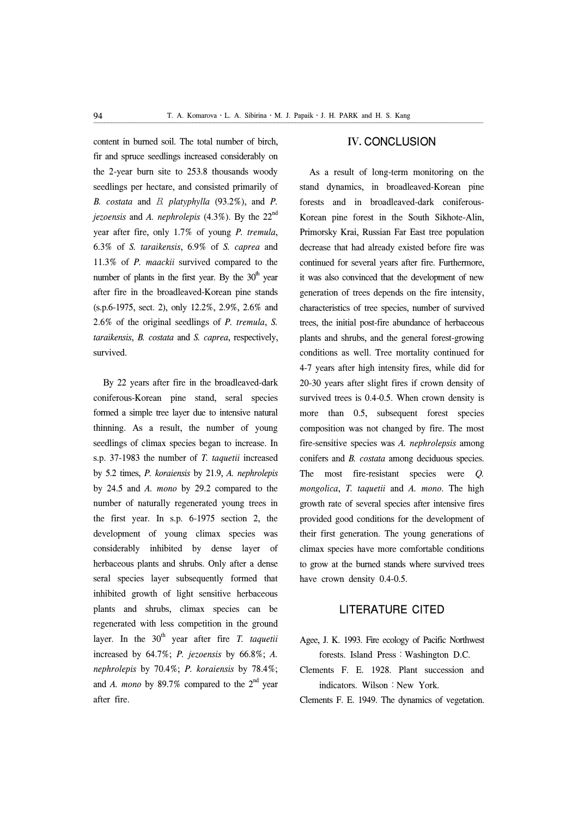content in burned soil. The total number of birch, fir and spruce seedlings increased considerably on the 2-year burn site to 253.8 thousands woody seedlings per hectare, and consisted primarily of *B. costata* and В*. platyphylla* (93.2%), and *P. jezoensis* and *A. nephrolepis* (4.3%). By the 22nd year after fire, only 1.7% of young *P. tremula*, 6.3% of *S. taraikensis*, 6.9% of *S. caprea* and 11.3% of *P. maackii* survived compared to the number of plants in the first year. By the  $30<sup>th</sup>$  year after fire in the broadleaved-Korean pine stands (s.p.6-1975, sect. 2), only 12.2%, 2.9%, 2.6% and 2.6% of the original seedlings of *P. tremula*, *S. taraikensis*, *B. costata* and *S. caprea*, respectively, survived.

By 22 years after fire in the broadleaved-dark coniferous-Korean pine stand, seral species formed a simple tree layer due to intensive natural thinning. As a result, the number of young seedlings of climax species began to increase. In s.p. 37-1983 the number of *T. taquetii* increased by 5.2 times, *P. koraiensis* by 21.9, *A. nephrolepis* by 24.5 and *A. mono* by 29.2 compared to the number of naturally regenerated young trees in the first year. In s.p. 6-1975 section 2, the development of young climax species was considerably inhibited by dense layer of herbaceous plants and shrubs. Only after a dense seral species layer subsequently formed that inhibited growth of light sensitive herbaceous plants and shrubs, climax species can be regenerated with less competition in the ground layer. In the 30<sup>th</sup> year after fire *T. taquetii* increased by 64.7%; *P. jezoensis* by 66.8%; *A. nephrolepis* by 70.4%; *P. koraiensis* by 78.4%; and *A. mono* by 89.7% compared to the  $2<sup>nd</sup>$  year after fire.

## IV. CONCLUSION

As a result of long-term monitoring on the stand dynamics, in broadleaved-Korean pine forests and in broadleaved-dark coniferous-Korean pine forest in the South Sikhote-Alin, Primorsky Krai, Russian Far East tree population decrease that had already existed before fire was continued for several years after fire. Furthermore, it was also convinced that the development of new generation of trees depends on the fire intensity, characteristics of tree species, number of survived trees, the initial post-fire abundance of herbaceous plants and shrubs, and the general forest-growing conditions as well. Tree mortality continued for 4-7 years after high intensity fires, while did for 20-30 years after slight fires if crown density of survived trees is 0.4-0.5. When crown density is more than 0.5, subsequent forest species composition was not changed by fire. The most fire-sensitive species was *A. nephrolepsis* among conifers and *B. costata* among deciduous species. The most fire-resistant species were *Q. mongolica*, *T. taquetii* and *A. mono*. The high growth rate of several species after intensive fires provided good conditions for the development of their first generation. The young generations of climax species have more comfortable conditions to grow at the burned stands where survived trees have crown density 0.4-0.5.

## LITERATURE CITED

- Agee, J. K. 1993. Fire ecology of Pacific Northwest forests. Island Press: Washington D.C.
- Clements F. E. 1928. Plant succession and indicators. Wilson: New York.
- Clements F. E. 1949. The dynamics of vegetation.